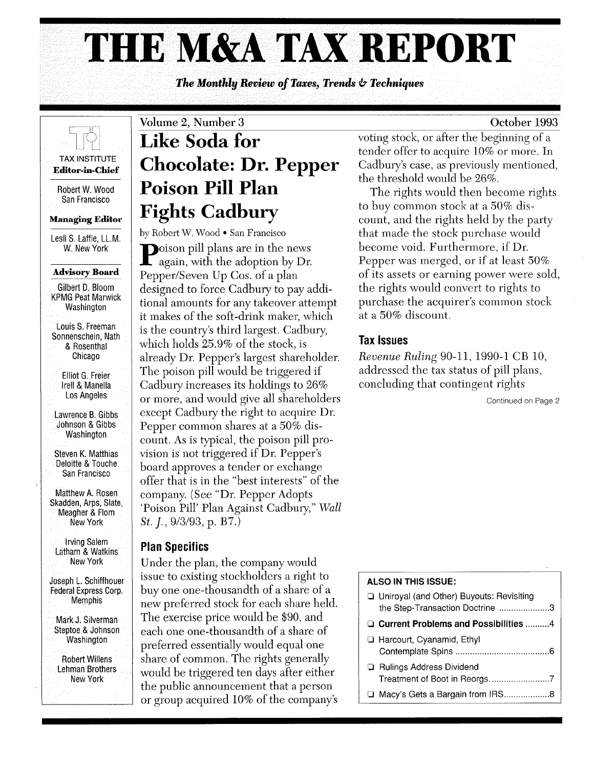# **THE M&A** TAX REPORT

*The Monthly Beview of Taxes, Trends* **6-** *Techniques* 



Robert W. Wood San Francisco

**Managing Editor** 

Lesli S. Laffie, LL.M. W. New York

#### **Advisory Board**

Gilbert D. Bloom KPMG Peat Marwick Washington

Louis S. Freeman Sonnenschein, Nath & Rosenthal Chicago

Elliot G. Freier Irell & Manella Los Angeles

Lawrence B. Gibbs Johnson & Gibbs Washington

Steven K. Matthias Deloitte & Touche San Francisco

Matthew A. Rosen Skadden, Arps, Slate, Meagher & Flom New York

Irving Salem Latham & Watkins New York

Joseph L. Schiffhouer Federal Express Corp. Memphis

Mark J. Silverman Steptoe & Johnson **Washington** 

Robert Willens Lehman Brothers New York

# Volume 2, Number 3 **Like Soda for Chocolate: Dr. Pepper Poison Pill Plan Fights Cadbury**

by Robert W. Wood • San Francisco

Poison pill plans are in the news again, with the adoption by Dr. Pepper/Seven Up Cos. of a plan designed to force Cadbury to pay additional amounts for any takeover attempt it makes of the soft-drink maker, which is the country's third largest. Cadbury, which holds 25.9% of the stock, is already Dr. Pepper's largest shareholder. The poison pill would be triggered if Cadbury increases its holdings to 26% or more, and would give all shareholders except Cadbury the right to acquire Dr. Pepper common shares at a 50% discount. As is typical, the poison pill provision is not triggered if Dr. Pepper's board approves a tender or exchange offer that is in the "best interests" of the company. (See "Dr. Pepper Adopts 'Poison Pill' Plan Against Cadbury," *Wall St. ].,9/3/93,* p. B7.)

# **Plan Specifics**

Under the plan, the company would issue to existing stockholders a right to buy one one-thousandth of a share of a new preferred stock for each share held. The exercise price would be \$90, and each one one-thousandth of a share of preferred essentially would equal one share of common. The rights generally would be triggered ten days after either the public announcement that a person or group acquired 10% of the company's

voting stock, or after the beginning of a tender offer to acquire 10% or more. In Cadbury's case, as previously mentioned, the threshold would be 26%.

The rights would then become rights to buy common stock at a 50% discount, and the rights held by the party that made the stock purchase would become void. Furthermore, if Dr. Pepper was merged, or if at least 50% of its assets or earning power were sold, the rights would convert to rights to purchase the acquirer's common stock at a 50% discount.

# Tax Issues

*Revenue Ruling* 90-11, 1990-1 CB 10, addressed the tax status of pill plans, concluding that contingent rights

Continued on Page 2

### **ALSO IN THIS ISSUE:**

- □ Uniroyal (and Other) Buyouts: Revisiting the Step-Transaction Doctrine ..................... 3 o **Current Problems and Possibilities** ......... .4 o Harcourt, Cyanamid, Ethyl Contemplate Spins ....................................... 6
- o Rulings Address Dividend Treatment of Boot in Reorgs ......................... 7 □ Macy's Gets a Bargain from IRS.....................8

## October 1993